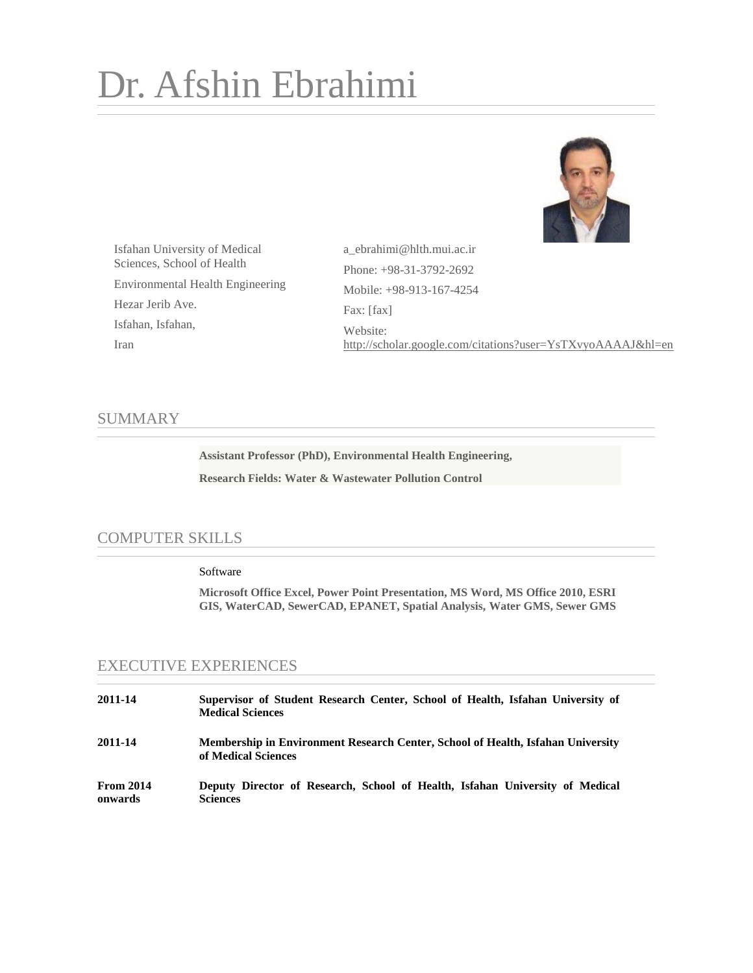# Dr. Afshin Ebrahimi



Isfahan University of Medical Sciences, School of Health Environmental Health Engineering Hezar Jerib Ave. Isfahan, Isfahan, Iran

a\_ebrahimi@hlth.mui.ac.ir Phone: +98-31-3792-2692 Mobile: +98-913-167-4254 Fax: [fax] Website: <http://scholar.google.com/citations?user=YsTXvyoAAAAJ&hl=en>

## SUMMARY

**Assistant Professor (PhD), Environmental Health Engineering, Research Fields: Water & Wastewater Pollution Control**

## COMPUTER SKILLS

#### Software

**Microsoft Office Excel, Power Point Presentation, MS Word, MS Office 2010, ESRI GIS, WaterCAD, SewerCAD, EPANET, Spatial Analysis, Water GMS, Sewer GMS**

## EXECUTIVE EXPERIENCES

| 2011-14                     | Supervisor of Student Research Center, School of Health, Isfahan University of<br><b>Medical Sciences</b> |
|-----------------------------|-----------------------------------------------------------------------------------------------------------|
| 2011-14                     | Membership in Environment Research Center, School of Health, Isfahan University<br>of Medical Sciences    |
| <b>From 2014</b><br>onwards | Deputy Director of Research, School of Health, Isfahan University of Medical<br><b>Sciences</b>           |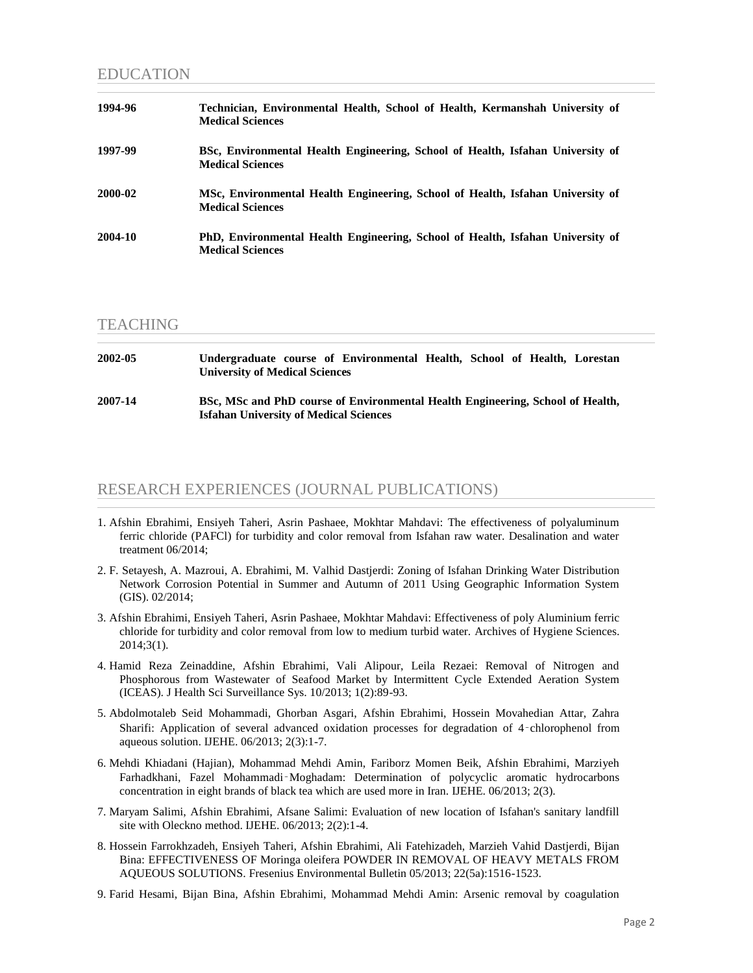#### EDUCATION

| 1994-96 | Technician, Environmental Health, School of Health, Kermanshah University of<br><b>Medical Sciences</b>   |
|---------|-----------------------------------------------------------------------------------------------------------|
| 1997-99 | BSc, Environmental Health Engineering, School of Health, Isfahan University of<br><b>Medical Sciences</b> |
| 2000-02 | MSc, Environmental Health Engineering, School of Health, Isfahan University of<br><b>Medical Sciences</b> |
| 2004-10 | PhD, Environmental Health Engineering, School of Health, Isfahan University of<br><b>Medical Sciences</b> |

#### **TEACHING**

| 2002-05 | Undergraduate course of Environmental Health, School of Health, Lorestan<br><b>University of Medical Sciences</b>               |
|---------|---------------------------------------------------------------------------------------------------------------------------------|
| 2007-14 | BSc, MSc and PhD course of Environmental Health Engineering, School of Health,<br><b>Isfahan University of Medical Sciences</b> |

## RESEARCH EXPERIENCES (JOURNAL PUBLICATIONS)

- 1. Afshin Ebrahimi, Ensiyeh Taheri, Asrin Pashaee, Mokhtar Mahdavi: The effectiveness of polyaluminum ferric chloride (PAFCl) for turbidity and color removal from Isfahan raw water. Desalination and water treatment 06/2014;
- 2. F. Setayesh, A. Mazroui, A. Ebrahimi, M. Valhid Dastjerdi: Zoning of Isfahan Drinking Water Distribution Network Corrosion Potential in Summer and Autumn of 2011 Using Geographic Information System (GIS). 02/2014;
- 3. Afshin Ebrahimi, Ensiyeh Taheri, Asrin Pashaee, Mokhtar Mahdavi: Effectiveness of poly Aluminium ferric chloride for turbidity and color removal from low to medium turbid water. Archives of Hygiene Sciences. 2014;3(1).
- 4. Hamid Reza Zeinaddine, Afshin Ebrahimi, Vali Alipour, Leila Rezaei: Removal of Nitrogen and Phosphorous from Wastewater of Seafood Market by Intermittent Cycle Extended Aeration System (ICEAS). J Health Sci Surveillance Sys. 10/2013; 1(2):89-93.
- 5. Abdolmotaleb Seid Mohammadi, Ghorban Asgari, Afshin Ebrahimi, Hossein Movahedian Attar, Zahra Sharifi: Application of several advanced oxidation processes for degradation of 4‑chlorophenol from aqueous solution. IJEHE. 06/2013; 2(3):1-7.
- 6. Mehdi Khiadani (Hajian), Mohammad Mehdi Amin, Fariborz Momen Beik, Afshin Ebrahimi, Marziyeh Farhadkhani, Fazel Mohammadi‑Moghadam: Determination of polycyclic aromatic hydrocarbons concentration in eight brands of black tea which are used more in Iran. IJEHE. 06/2013; 2(3).
- 7. Maryam Salimi, Afshin Ebrahimi, Afsane Salimi: Evaluation of new location of Isfahan's sanitary landfill site with Oleckno method. IJEHE. 06/2013; 2(2):1-4.
- 8. Hossein Farrokhzadeh, Ensiyeh Taheri, Afshin Ebrahimi, Ali Fatehizadeh, Marzieh Vahid Dastjerdi, Bijan Bina: EFFECTIVENESS OF Moringa oleifera POWDER IN REMOVAL OF HEAVY METALS FROM AQUEOUS SOLUTIONS. Fresenius Environmental Bulletin 05/2013; 22(5a):1516-1523.
- 9. Farid Hesami, Bijan Bina, Afshin Ebrahimi, Mohammad Mehdi Amin: Arsenic removal by coagulation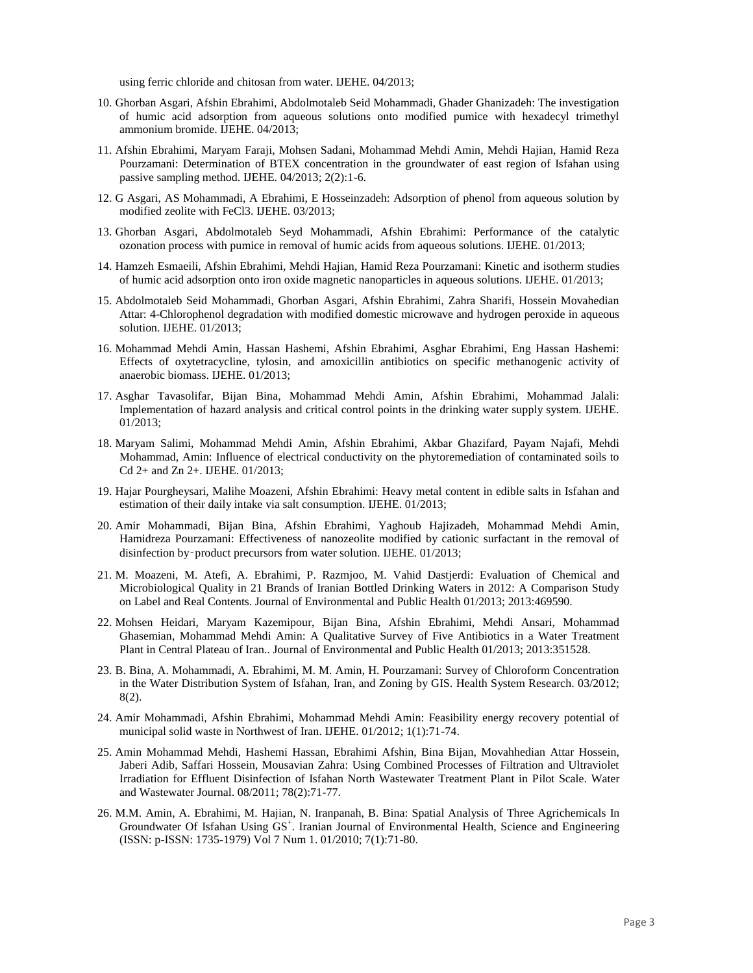using ferric chloride and chitosan from water. IJEHE. 04/2013;

- 10. Ghorban Asgari, Afshin Ebrahimi, Abdolmotaleb Seid Mohammadi, Ghader Ghanizadeh: The investigation of humic acid adsorption from aqueous solutions onto modified pumice with hexadecyl trimethyl ammonium bromide. IJEHE. 04/2013;
- 11. Afshin Ebrahimi, Maryam Faraji, Mohsen Sadani, Mohammad Mehdi Amin, Mehdi Hajian, Hamid Reza Pourzamani: Determination of BTEX concentration in the groundwater of east region of Isfahan using passive sampling method. IJEHE. 04/2013; 2(2):1-6.
- 12. G Asgari, AS Mohammadi, A Ebrahimi, E Hosseinzadeh: Adsorption of phenol from aqueous solution by modified zeolite with FeCl3. IJEHE. 03/2013;
- 13. Ghorban Asgari, Abdolmotaleb Seyd Mohammadi, Afshin Ebrahimi: Performance of the catalytic ozonation process with pumice in removal of humic acids from aqueous solutions. IJEHE. 01/2013;
- 14. Hamzeh Esmaeili, Afshin Ebrahimi, Mehdi Hajian, Hamid Reza Pourzamani: Kinetic and isotherm studies of humic acid adsorption onto iron oxide magnetic nanoparticles in aqueous solutions. IJEHE. 01/2013;
- 15. Abdolmotaleb Seid Mohammadi, Ghorban Asgari, Afshin Ebrahimi, Zahra Sharifi, Hossein Movahedian Attar: 4-Chlorophenol degradation with modified domestic microwave and hydrogen peroxide in aqueous solution. IJEHE. 01/2013;
- 16. Mohammad Mehdi Amin, Hassan Hashemi, Afshin Ebrahimi, Asghar Ebrahimi, Eng Hassan Hashemi: Effects of oxytetracycline, tylosin, and amoxicillin antibiotics on specific methanogenic activity of anaerobic biomass. IJEHE. 01/2013;
- 17. Asghar Tavasolifar, Bijan Bina, Mohammad Mehdi Amin, Afshin Ebrahimi, Mohammad Jalali: Implementation of hazard analysis and critical control points in the drinking water supply system. IJEHE. 01/2013;
- 18. Maryam Salimi, Mohammad Mehdi Amin, Afshin Ebrahimi, Akbar Ghazifard, Payam Najafi, Mehdi Mohammad, Amin: Influence of electrical conductivity on the phytoremediation of contaminated soils to Cd 2+ and Zn 2+. IJEHE. 01/2013;
- 19. Hajar Pourgheysari, Malihe Moazeni, Afshin Ebrahimi: Heavy metal content in edible salts in Isfahan and estimation of their daily intake via salt consumption. IJEHE. 01/2013;
- 20. Amir Mohammadi, Bijan Bina, Afshin Ebrahimi, Yaghoub Hajizadeh, Mohammad Mehdi Amin, Hamidreza Pourzamani: Effectiveness of nanozeolite modified by cationic surfactant in the removal of disinfection by-product precursors from water solution. IJEHE. 01/2013;
- 21. M. Moazeni, M. Atefi, A. Ebrahimi, P. Razmjoo, M. Vahid Dastjerdi: Evaluation of Chemical and Microbiological Quality in 21 Brands of Iranian Bottled Drinking Waters in 2012: A Comparison Study on Label and Real Contents. Journal of Environmental and Public Health 01/2013; 2013:469590.
- 22. Mohsen Heidari, Maryam Kazemipour, Bijan Bina, Afshin Ebrahimi, Mehdi Ansari, Mohammad Ghasemian, Mohammad Mehdi Amin: A Qualitative Survey of Five Antibiotics in a Water Treatment Plant in Central Plateau of Iran.. Journal of Environmental and Public Health 01/2013; 2013:351528.
- 23. B. Bina, A. Mohammadi, A. Ebrahimi, M. M. Amin, H. Pourzamani: Survey of Chloroform Concentration in the Water Distribution System of Isfahan, Iran, and Zoning by GIS. Health System Research. 03/2012; 8(2).
- 24. Amir Mohammadi, Afshin Ebrahimi, Mohammad Mehdi Amin: Feasibility energy recovery potential of municipal solid waste in Northwest of Iran. IJEHE. 01/2012; 1(1):71-74.
- 25. Amin Mohammad Mehdi, Hashemi Hassan, Ebrahimi Afshin, Bina Bijan, Movahhedian Attar Hossein, Jaberi Adib, Saffari Hossein, Mousavian Zahra: Using Combined Processes of Filtration and Ultraviolet Irradiation for Effluent Disinfection of Isfahan North Wastewater Treatment Plant in Pilot Scale. Water and Wastewater Journal. 08/2011; 78(2):71-77.
- 26. M.M. Amin, A. Ebrahimi, M. Hajian, N. Iranpanah, B. Bina: Spatial Analysis of Three Agrichemicals In Groundwater Of Isfahan Using GS<sup>+</sup>. Iranian Journal of Environmental Health, Science and Engineering (ISSN: p-ISSN: 1735-1979) Vol 7 Num 1. 01/2010; 7(1):71-80.